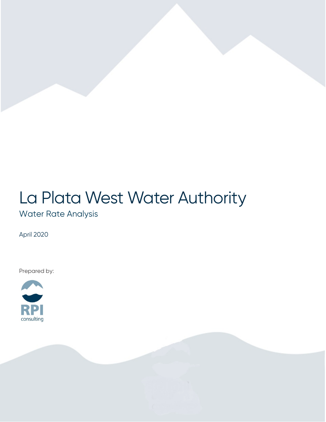# La Plata West Water Authority

### Water Rate Analysis

April 2020

Prepared by:

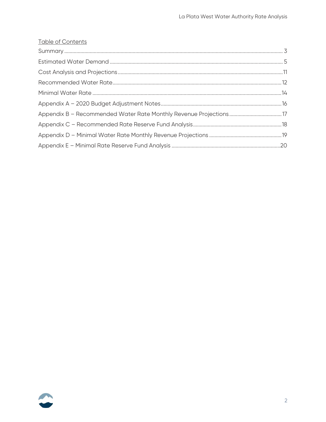#### **Table of Contents**

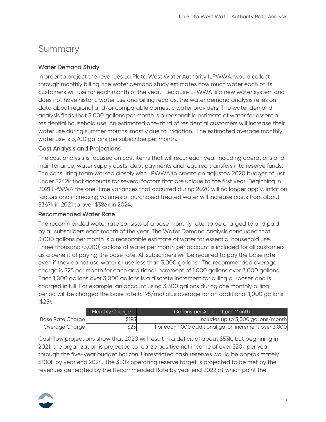# <span id="page-2-0"></span>Summary

#### Water Demand Study

In order to project the revenues La Plata West Water Authority (LPWWA) would collect through monthly billing, the water demand study estimates how much water each of its customers will use for each month of the year. Because LPWWA is a new water system and does not have historic water use and billing records, the water demand analysis relies on data about regional and/or comparable domestic water providers. The water demand analysis finds that 3,000 gallons per month is a reasonable estimate of water for essential residential household use. An estimated one-third of residential customers will increase their water use during summer months, mostly due to irrigation. The estimated average monthly water use is 3,700 gallons per subscriber per month.

#### Cost Analysis and Projections

The cost analysis is focused on cost items that will recur each year including operations and maintenance, water supply costs, debt payments and required transfers into reserve funds. The consulting team worked closely with LPWWA to create an adjusted 2020 budget of just under \$242k that accounts for several factors that are unique to the first year. Beginning in 2021 LPWWA the one-time variances that occurred during 2020 will no longer apply. Inflation factors and increasing volumes of purchased treated water will increase costs from about \$367k in 2021 to over \$386k in 2024.

#### Recommended Water Rate

The recommended water rate consists of a base monthly rate, to be charged to and paid by all subscribers each month of the year. The Water Demand Analysis concluded that 3,000 gallons per month is a reasonable estimate of water for essential household use. Three thousand (3,000) gallons of water per month per account is included for all customers as a benefit of paying the base rate. All subscribers will be required to pay the base rate, even if they do not use water or use less than 3,000 gallons. The recommended overage charge is \$25 per month for each additional increment of 1,000 gallons over 3,000 gallons. Each 1,000 gallons over 3,000 gallons is a discrete increment for billing purposes and is charged in full. For example, an account using 3,300 gallons during one monthly billing period will be charged the base rate (\$195/mo) plus overage for an additional 1,000 gallons (\$25).

|                  | Monthly Charge | Gallons per Account per Month                         |
|------------------|----------------|-------------------------------------------------------|
| Base Rate Charge | \$195          | Includes up to 3,000 gallons/month                    |
| Overage Charge   | \$25           | For each 1,000 additional gallon increment over 3,000 |

Cashflow projections show that 2020 will result in a deficit of about \$53k, but beginning in 2021, the organization is projected to realize positive net income of over \$20k per year through the five-year budget horizon. Unrestricted cash reserves would be approximately \$100k by year end 2024. The \$50k operating reserve target is projected to be met by the revenues generated by the Recommended Rate by year end 2022 at which point the

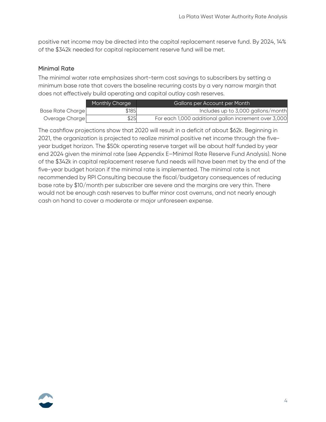positive net income may be directed into the capital replacement reserve fund. By 2024, 14% of the \$342k needed for capital replacement reserve fund will be met.

#### Minimal Rate

The minimal water rate emphasizes short-term cost savings to subscribers by setting a minimum base rate that covers the baseline recurring costs by a very narrow margin that does not effectively build operating and capital outlay cash reserves.

|                  | Monthly Charge | Gallons per Account per Month                         |
|------------------|----------------|-------------------------------------------------------|
| Base Rate Charge | \$185          | Includes up to 3,000 gallons/month                    |
| Overage Charge   | \$25           | For each 1,000 additional gallon increment over 3,000 |

The cashflow projections show that 2020 will result in a deficit of about \$62k. Beginning in 2021, the organization is projected to realize minimal positive net income through the fiveyear budget horizon. The \$50k operating reserve target will be about half funded by year end 2024 given the minimal rate (see Appendix E–Minimal Rate Reserve Fund Analysis). None of the \$342k in capital replacement reserve fund needs will have been met by the end of the five-year budget horizon if the minimal rate is implemented. The minimal rate is not recommended by RPI Consulting because the fiscal/budgetary consequences of reducing base rate by \$10/month per subscriber are severe and the margins are very thin. There would not be enough cash reserves to buffer minor cost overruns, and not nearly enough cash on hand to cover a moderate or major unforeseen expense.

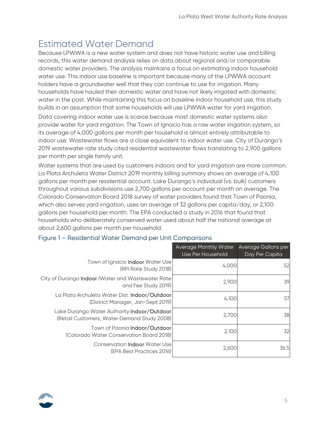# <span id="page-4-0"></span>Estimated Water Demand

Because LPWWA is a new water system and does not have historic water use and billing records, this water demand analysis relies on data about regional and/or comparable domestic water providers. The analysis maintains a focus on estimating indoor household water use. This indoor use baseline is important because many of the LPWWA account holders have a groundwater well that they can continue to use for irrigation. Many households have hauled their domestic water and have not likely irrigated with domestic water in the past. While maintaining this focus on baseline indoor household use, this study builds in an assumption that some households will use LPWWA water for yard irrigation.

Data covering indoor water use is scarce because most domestic water systems also provide water for yard irrigation. The Town of Ignacio has a raw water irrigation system, so its average of 4,000 gallons per month per household is almost entirely attributable to indoor use. Wastewater flows are a close equivalent to indoor water use. City of Durango's 2019 wastewater rate study cited residential wastewater flows translating to 2,900 gallons per month per single family unit.

Water systems that are used by customers indoors and for yard irrigation are more common. La Plata Archuleta Water District 2019 monthly billing summary shows an average of 4,100 gallons per month per residential account. Lake Durango's individual (vs. bulk) customers throughout various subdivisions use 2,700 gallons per account per month on average. The Colorado Conservation Board 2018 survey of water providers found that Town of Paonia, which also serves yard irrigation, uses an average of 32 gallons per capita/day, or 2,100 gallons per household per month. The EPA conducted a study in 2016 that found that households who deliberately conserved water used about half the national average at about 2,600 gallons per month per household.

|                                                                                            | <b>Average Monthly Water</b><br>Use Per Household | Average Gallons per<br>Day Per Capita |
|--------------------------------------------------------------------------------------------|---------------------------------------------------|---------------------------------------|
| Town of Ignacio Indoor Water Use<br>(RPI Rate Study 2018)                                  | 4,000                                             | 52                                    |
| City of Durango Indoor (Water and Wastewater Rate<br>and Fee Study 2019)                   | 2,900                                             | 39                                    |
| La Plata Archuleta Water Dist. Indoor/Outdoor<br>(District Manager, Jan-Sept 2019)         | 4,100                                             | 57                                    |
| Lake Durango Water Authority Indoor/Outdoor<br>(Retail Customers, Water Demand Study 2008) | 2,700                                             | 38                                    |
| Town of Paonia Indoor/Outdoor<br>(Colorado Water Conservation Board 2018)                  | 2,100                                             | 32                                    |
| <b>Conservation Indoor Water Use</b><br>(EPA Best Practices 2016)                          | 2,600                                             | 36.5                                  |

#### Figure 1 – Residential Water Demand per Unit Comparisons

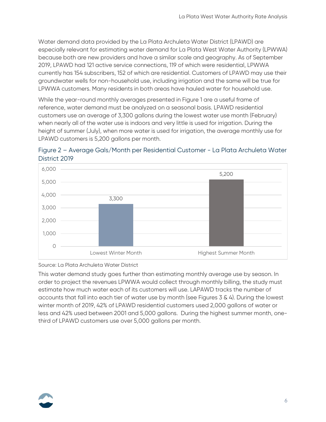Water demand data provided by the La Plata Archuleta Water District (LPAWD) are especially relevant for estimating water demand for La Plata West Water Authority (LPWWA) because both are new providers and have a similar scale and geography. As of September 2019, LPAWD had 121 active service connections, 119 of which were residential, LPWWA currently has 154 subscribers, 152 of which are residential. Customers of LPAWD may use their groundwater wells for non-household use, including irrigation and the same will be true for LPWWA customers. Many residents in both areas have hauled water for household use.

While the year-round monthly averages presented in Figure 1 are a useful frame of reference, water demand must be analyzed on a seasonal basis. LPAWD residential customers use an average of 3,300 gallons during the lowest water use month (February) when nearly all of the water use is indoors and very little is used for irrigation. During the height of summer (July), when more water is used for irrigation, the average monthly use for LPAWD customers is 5,200 gallons per month.





Source: La Plata Archuleta Water District

This water demand study goes further than estimating monthly average use by season. In order to project the revenues LPWWA would collect through monthly billing, the study must estimate how much water each of its customers will use. LAPAWD tracks the number of accounts that fall into each tier of water use by month (see Figures 3 & 4). During the lowest winter month of 2019, 42% of LPAWD residential customers used 2,000 gallons of water or less and 42% used between 2001 and 5,000 gallons. During the highest summer month, onethird of LPAWD customers use over 5,000 gallons per month.

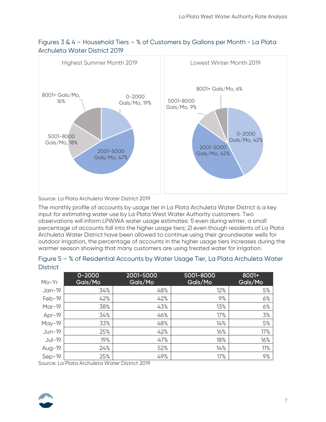

### Figures 3 & 4 – Household Tiers – % of Customers by Gallons per Month - La Plata Archuleta Water District 2019

Source: La Plata Archuleta Water District 2019

The monthly profile of accounts by usage tier in La Plata Archuleta Water District is a key input for estimating water use by La Plata West Water Authority customers. Two observations will inform LPWWA water usage estimates: 1) even during winter, a small percentage of accounts fall into the higher usage tiers; 2) even though residents of La Plata Archuleta Water District have been allowed to continue using their groundwater wells for outdoor irrigation, the percentage of accounts in the higher usage tiers increases during the warmer season showing that many customers are using treated water for irrigation.

| $Mo-Yr$  | $0 - 2000$<br>Gals/Mo | 2001-5000<br>Gals/Mo | 5001-8000<br>Gals/Mo | 8001+<br>Gals/Mo |
|----------|-----------------------|----------------------|----------------------|------------------|
| $Jan-19$ | 34%                   | 48%                  | 12%                  | 5%               |
| Feb-19   | 42%                   | 42%                  | 9%                   | 6%               |
| $Mar-19$ | 38%                   | 43%                  | 13%                  | 6%               |
| Apr-19   | 34%                   | 46%                  | 17%                  | 3%               |
| $May-19$ | 33%                   | 48%                  | 14%                  | 5%               |
| $Jun-19$ | 25%                   | 42%                  | 16%                  | 17%              |
| $Jul-19$ | 19%                   | 47%                  | 18%                  | 16%              |
| Aug-19   | 24%                   | 52%                  | 14%                  | 11%              |
| $Sep-19$ | 25%                   | 49%                  | 17%                  | 9%               |

| Figure 5 - % of Residential Accounts by Water Usage Tier, La Plata Archuleta Water |  |
|------------------------------------------------------------------------------------|--|
| <b>District</b>                                                                    |  |

Source: La Plata Archuleta Water District 2019

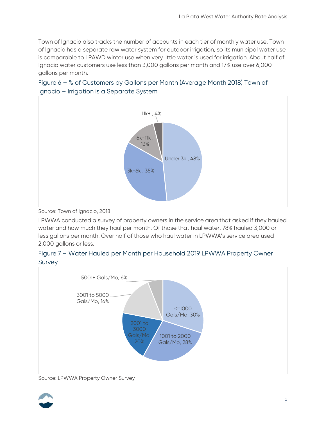Town of Ignacio also tracks the number of accounts in each tier of monthly water use. Town of Ignacio has a separate raw water system for outdoor irrigation, so its municipal water use is comparable to LPAWD winter use when very little water is used for irrigation. About half of Ignacio water customers use less than 3,000 gallons per month and 17% use over 6,000 gallons per month.



### Figure 6 – % of Customers by Gallons per Month (Average Month 2018) Town of Ignacio – Irrigation is a Separate System

Source: Town of Ignacio, 2018

LPWWA conducted a survey of property owners in the service area that asked if they hauled water and how much they haul per month. Of those that haul water, 78% hauled 3,000 or less gallons per month. Over half of those who haul water in LPWWA's service area used 2,000 gallons or less.





Source: LPWWA Property Owner Survey

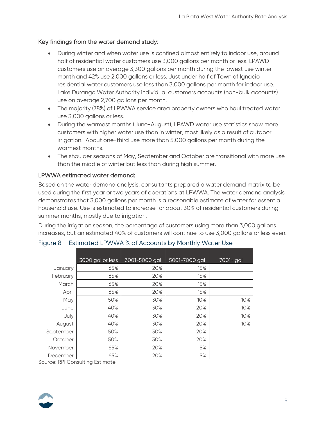#### Key findings from the water demand study:

- During winter and when water use is confined almost entirely to indoor use, around half of residential water customers use 3,000 gallons per month or less. LPAWD customers use on average 3,300 gallons per month during the lowest use winter month and 42% use 2,000 gallons or less. Just under half of Town of Ignacio residential water customers use less than 3,000 gallons per month for indoor use. Lake Durango Water Authority individual customers accounts (non-bulk accounts) use on average 2,700 gallons per month.
- The majority (78%) of LPWWA service area property owners who haul treated water use 3,000 gallons or less.
- During the warmest months (June-August), LPAWD water use statistics show more customers with higher water use than in winter, most likely as a result of outdoor irrigation. About one-third use more than 5,000 gallons per month during the warmest months.
- The shoulder seasons of May, September and October are transitional with more use than the middle of winter but less than during high summer.

#### LPWWA estimated water demand:

Based on the water demand analysis, consultants prepared a water demand matrix to be used during the first year or two years of operations at LPWWA. The water demand analysis demonstrates that 3,000 gallons per month is a reasonable estimate of water for essential household use. Use is estimated to increase for about 30% of residential customers during summer months, mostly due to irrigation.

During the irrigation season, the percentage of customers using more than 3,000 gallons increases, but an estimated 40% of customers will continue to use 3,000 gallons or less even.

|           | 3000 gal or less | 3001-5000 gal | 5001-7000 gal | 7001+ gal |
|-----------|------------------|---------------|---------------|-----------|
| January   | 65%              | 20%           | 15%           |           |
| February  | 65%              | 20%           | 15%           |           |
| March     | 65%              | 20%           | 15%           |           |
| April     | 65%              | 20%           | 15%           |           |
| May       | 50%              | 30%           | 10%           | 10%       |
| June      | 40%              | 30%           | 20%           | 10%       |
| July      | 40%              | 30%           | 20%           | 10%       |
| August    | 40%              | 30%           | 20%           | 10%       |
| September | 50%              | 30%           | 20%           |           |
| October   | 50%              | 30%           | 20%           |           |
| November  | 65%              | 20%           | 15%           |           |
| December  | 65%              | 20%           | 15%           |           |

### Figure 8 – Estimated LPWWA % of Accounts by Monthly Water Use

Source: RPI Consulting Estimate

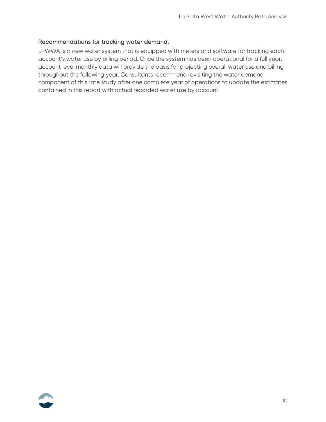#### Recommendations for tracking water demand:

LPWWA is a new water system that is equipped with meters and software for tracking each account's water use by billing period. Once the system has been operational for a full year, account level monthly data will provide the basis for projecting overall water use and billing throughout the following year. Consultants recommend revisiting the water demand component of this rate study after one complete year of operations to update the estimates contained in this report with actual recorded water use by account.

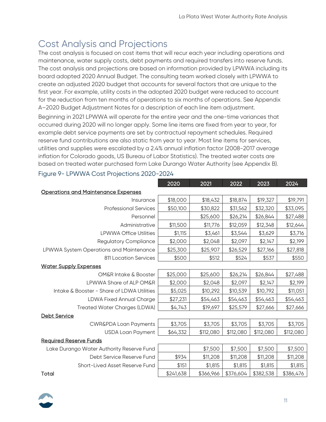# <span id="page-10-0"></span>Cost Analysis and Projections

The cost analysis is focused on cost items that will recur each year including operations and maintenance, water supply costs, debt payments and required transfers into reserve funds. The cost analysis and projections are based on information provided by LPWWA including its board adopted 2020 Annual Budget. The consulting team worked closely with LPWWA to create an adjusted 2020 budget that accounts for several factors that are unique to the first year. For example, utility costs in the adopted 2020 budget were reduced to account for the reduction from ten months of operations to six months of operations. See Appendix A–2020 Budget Adjustment Notes for a description of each line item adjustment.

Beginning in 2021 LPWWA will operate for the entire year and the one-time variances that occurred during 2020 will no longer apply. Some line items are fixed from year to year, for example debt service payments are set by contractual repayment schedules. Required reserve fund contributions are also static from year to year. Most line items for services, utilities and supplies were escalated by a 2.4% annual inflation factor (2008-2017 average inflation for Colorado goods, US Bureau of Labor Statistics). The treated water costs are based on treated water purchased form Lake Durango Water Authority (see Appendix B).

|                                            | 2020      | 2021      | 2022      | 2023      | 2024      |
|--------------------------------------------|-----------|-----------|-----------|-----------|-----------|
| <b>Operations and Maintenance Expenses</b> |           |           |           |           |           |
| Insurance                                  | \$18,000  | \$18,432  | \$18,874  | \$19,327  | \$19,791  |
| <b>Professional Services</b>               | \$50,100  | \$30,822  | \$31,562  | \$32,320  | \$33,095  |
| Personnel                                  |           | \$25,600  | \$26,214  | \$26,844  | \$27,488  |
| Administrative                             | \$11,500  | \$11,776  | \$12,059  | \$12,348  | \$12,644  |
| <b>LPWWA Office Utilities</b>              | \$1,115   | \$3,461   | \$3,544   | \$3,629   | \$3,716   |
| <b>Regulatory Compliance</b>               | \$2,000   | \$2,048   | \$2,097   | \$2,147   | \$2,199   |
| LPWWA System Operations and Maintenance    | \$25,300  | \$25,907  | \$26,529  | \$27,166  | \$27,818  |
| 811 Location Services                      | \$500     | \$512     | \$524     | \$537     | \$550     |
| <b>Water Supply Expenses</b>               |           |           |           |           |           |
| <b>OM&amp;R Intake &amp; Booster</b>       | \$25,000  | \$25,600  | \$26,214  | \$26,844  | \$27,488  |
| LPWWA Share of ALP OM&R                    | \$2,000   | \$2,048   | \$2,097   | \$2,147   | \$2,199   |
| Intake & Booster - Share of LDWA Utilities | \$5,025   | \$10,292  | \$10,539  | \$10,792  | \$11,051  |
| <b>LDWA Fixed Annual Charge</b>            | \$27,231  | \$54,463  | \$54,463  | \$54,463  | \$54,463  |
| <b>Treated Water Charges (LDWA)</b>        | \$4,743   | \$19,697  | \$25,579  | \$27,666  | \$27,666  |
| <b>Debt Service</b>                        |           |           |           |           |           |
| <b>CWR&amp;PDA Loan Payments</b>           | \$3,705   | \$3,705   | \$3,705   | \$3,705   | \$3,705   |
| <b>USDA Loan Payment</b>                   | \$64,332  | \$112,080 | \$112,080 | \$112,080 | \$112,080 |
| <b>Required Reserve Funds</b>              |           |           |           |           |           |
| Lake Durango Water Authority Reserve Fund  |           | \$7,500   | \$7,500   | \$7,500   | \$7,500   |
| Debt Service Reserve Fund                  | \$934     | \$11,208  | \$11,208  | \$11,208  | \$11,208  |
| Short-Lived Asset Reserve Fund             | \$151     | \$1,815   | \$1,815   | \$1,815   | \$1,815   |
| Total                                      | \$241,638 | \$366,966 | \$376,604 | \$382,538 | \$386,476 |

#### Figure 9- LPWWA Cost Projections 2020-2024

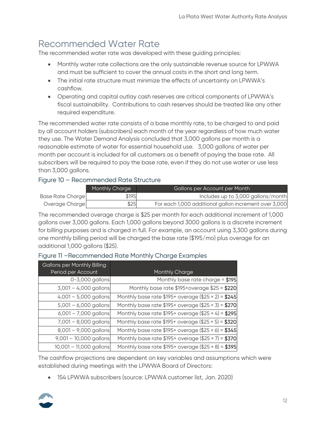# <span id="page-11-0"></span>Recommended Water Rate

The recommended water rate was developed with these guiding principles:

- Monthly water rate collections are the only sustainable revenue source for LPWWA and must be sufficient to cover the annual costs in the short and long term.
- The initial rate structure must minimize the effects of uncertainty on LPWWA's cashflow.
- Operating and capital outlay cash reserves are critical components of LPWWA's fiscal sustainability. Contributions to cash reserves should be treated like any other required expenditure.

The recommended water rate consists of a base monthly rate, to be charged to and paid by all account holders (subscribers) each month of the year regardless of how much water they use. The Water Demand Analysis concluded that 3,000 gallons per month is a reasonable estimate of water for essential household use. 3,000 gallons of water per month per account is included for all customers as a benefit of paying the base rate. All subscribers will be required to pay the base rate, even if they do not use water or use less than 3,000 gallons.

### Figure 10 – Recommended Rate Structure

|                  | Monthly Charge | Gallons per Account per Month                         |
|------------------|----------------|-------------------------------------------------------|
| Base Rate Charge | \$195          | Includes up to 3,000 gallons/month                    |
| Overage Charge   | \$25           | For each 1,000 additional gallon increment over 3,000 |

The recommended overage charge is \$25 per month for each additional increment of 1,000 gallons over 3,000 gallons. Each 1,000 gallons beyond 3000 gallons is a discrete increment for billing purposes and is charged in full. For example, an account using 3,300 gallons during one monthly billing period will be charged the base rate (\$195/mo) plus overage for an additional 1,000 gallons (\$25).

#### Figure 11 –Recommended Rate Monthly Charge Examples

| <b>Gallons per Monthly Billing</b> |                                                           |
|------------------------------------|-----------------------------------------------------------|
| Period per Account                 | Monthly Charge                                            |
| 0-3,000 gallons                    | Monthly base rate charge = $$195$                         |
| 3,001 - 4,000 gallons              | Monthly base rate $$195+overage$ \$25 = \$220             |
| $4,001 - 5,000$ gallons            | Monthly base rate $$195+$ overage (\$25 × 2) = \$245      |
| $5,001 - 6,000$ gallons            | Monthly base rate $$195+$ overage (\$25 × 3) = \$270      |
| $6,001 - 7,000$ gallons            | Monthly base rate \$195+ overage $(\$25 \times 4) = $295$ |
| 7,001 - 8,000 gallons              | Monthly base rate $$195+$ overage (\$25 × 5) = \$320      |
| $8,001 - 9,000$ gallons            | Monthly base rate $$195+$ overage (\$25 × 6) = \$345      |
| 9,001 - 10,000 gallons             | Monthly base rate $$195+$ overage (\$25 × 7) = $$370$     |
| 10,001 - 11,000 gallons            | Monthly base rate $$195+$ overage (\$25 × 8) = \$395      |

The cashflow projections are dependent on key variables and assumptions which were established during meetings with the LPWWA Board of Directors:

• 154 LPWWA subscribers (source: LPWWA customer list, Jan. 2020)

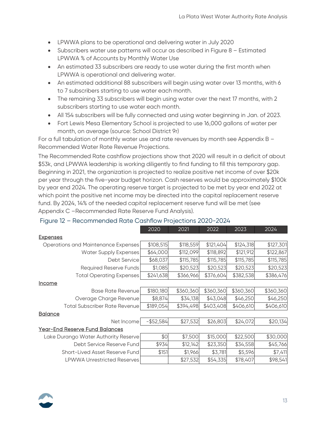- LPWWA plans to be operational and delivering water in July 2020
- Subscribers water use patterns will occur as described in Figure 8 Estimated LPWWA % of Accounts by Monthly Water Use
- An estimated 33 subscribers are ready to use water during the first month when LPWWA is operational and delivering water.
- An estimated additional 88 subscribers will begin using water over 13 months, with 6 to 7 subscribers starting to use water each month.
- The remaining 33 subscribers will begin using water over the next 17 months, with 2 subscribers starting to use water each month.
- All 154 subscribers will be fully connected and using water beginning in Jan. of 2023.
- Fort Lewis Mesa Elementary School is projected to use 16,000 gallons of water per month, on average (source: School District 9r)

For a full tabulation of monthly water use and rate revenues by month see Appendix B -Recommended Water Rate Revenue Projections.

The Recommended Rate cashflow projections show that 2020 will result in a deficit of about \$53k, and LPWWA leadership is working diligently to find funding to fill this temporary gap. Beginning in 2021, the organization is projected to realize positive net income of over \$20k per year through the five-year budget horizon. Cash reserves would be approximately \$100k by year end 2024. The operating reserve target is projected to be met by year end 2022 at which point the positive net income may be directed into the capital replacement reserve fund. By 2024, 14% of the needed capital replacement reserve fund will be met (see Appendix C –Recommended Rate Reserve Fund Analysis).

|                                       | 2020         | 2021      | 2022      | 2023      | 2024      |
|---------------------------------------|--------------|-----------|-----------|-----------|-----------|
| <b>Expenses</b>                       |              |           |           |           |           |
| Operations and Maintenance Expenses   | \$108,515    | \$118,559 | \$121,404 | \$124,318 | \$127,301 |
| <b>Water Supply Expenses</b>          | \$64,000     | \$112,099 | \$118,892 | \$121,912 | \$122,867 |
| Debt Service                          | \$68,037     | \$115,785 | \$115,785 | \$115,785 | \$115,785 |
| <b>Required Reserve Funds</b>         | \$1,085      | \$20,523  | \$20,523  | \$20,523  | \$20,523  |
| <b>Total Operating Expenses</b>       | \$241,638    | \$366,966 | \$376,604 | \$382,538 | \$386,476 |
| <u>Income</u>                         |              |           |           |           |           |
| <b>Base Rate Revenue</b>              | \$180,180    | \$360,360 | \$360,360 | \$360,360 | \$360,360 |
| Overage Charge Revenue                | \$8,874      | \$34,138  | \$43,048  | \$46,250  | \$46,250  |
| <b>Total Subscriber Rate Revenue</b>  | \$189,054    | \$394,498 | \$403,408 | \$406,610 | \$406,610 |
| <b>Balance</b>                        |              |           |           |           |           |
| Net Income                            | $-$ \$52,584 | \$27,532  | \$26,803  | \$24,072  | \$20,134  |
| <b>Year-End Reserve Fund Balances</b> |              |           |           |           |           |
| Lake Durango Water Authority Reserve  | \$0          | \$7,500   | \$15,000  | \$22,500  | \$30,000  |
| Debt Service Reserve Fund             | \$934        | \$12,142  | \$23,350  | \$34,558  | \$45,766  |
| Short-Lived Asset Reserve Fund        | \$151        | \$1,966   | \$3,781   | \$5,596   | \$7,411   |
| <b>LPWWA Unrestricted Reserves</b>    |              | \$27,532  | \$54,335  | \$78,407  | \$98,541  |

#### Figure 12 – Recommended Rate Cashflow Projections 2020-2024

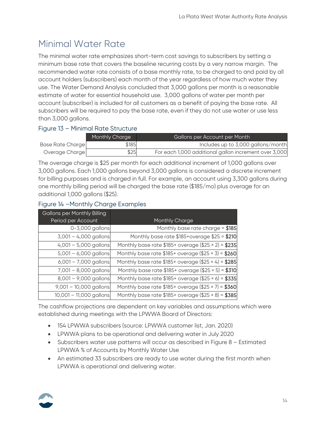# <span id="page-13-0"></span>Minimal Water Rate

The minimal water rate emphasizes short-term cost savings to subscribers by setting a minimum base rate that covers the baseline recurring costs by a very narrow margin. The recommended water rate consists of a base monthly rate, to be charged to and paid by all account holders (subscribers) each month of the year regardless of how much water they use. The Water Demand Analysis concluded that 3,000 gallons per month is a reasonable estimate of water for essential household use. 3,000 gallons of water per month per account (subscriber) is included for all customers as a benefit of paying the base rate. All subscribers will be required to pay the base rate, even if they do not use water or use less than 3,000 gallons.

### Figure 13 – Minimal Rate Structure

|                  | Monthly Charge | Gallons per Account per Month                         |
|------------------|----------------|-------------------------------------------------------|
| Base Rate Charge | \$185          | Includes up to 3,000 gallons/month                    |
| Overage Charge   | \$25           | For each 1,000 additional gallon increment over 3,000 |

The overage charge is \$25 per month for each additional increment of 1,000 gallons over 3,000 gallons. Each 1,000 gallons beyond 3,000 gallons is considered a discrete increment for billing purposes and is charged in full. For example, an account using 3,300 gallons during one monthly billing period will be charged the base rate (\$185/mo) plus overage for an additional 1,000 gallons (\$25).

#### Figure 14 –Monthly Charge Examples

| <b>Gallons per Monthly Billing</b> |                                                       |
|------------------------------------|-------------------------------------------------------|
| Period per Account                 | Monthly Charge                                        |
| 0-3,000 gallons                    | Monthly base rate charge = $$185$                     |
| $3,001 - 4,000$ gallons            | Monthly base rate $$185+overage$ $$25 = $210$         |
| $4,001 - 5,000$ gallons            | Monthly base rate $$185+$ overage (\$25 × 2) = \$235  |
| $5,001 - 6,000$ gallons            | Monthly base rate $$185+$ overage (\$25 × 3) = \$260  |
| $6,001 - 7,000$ gallons            | Monthly base rate $$185+$ overage (\$25 × 4) = $$285$ |
| 7,001 - 8,000 gallons              | Monthly base rate $$185+$ overage (\$25 × 5) = \$310  |
| $8,001 - 9,000$ gallons            | Monthly base rate $$185+$ overage (\$25 × 6) = \$335  |
| 9,001 - 10,000 gallons             | Monthly base rate $$185+$ overage (\$25 × 7) = $$360$ |
| 10,001 - 11,000 gallons            | Monthly base rate $$185+$ overage (\$25 × 8) = $$385$ |

The cashflow projections are dependent on key variables and assumptions which were established during meetings with the LPWWA Board of Directors:

- 154 LPWWA subscribers (source: LPWWA customer list, Jan. 2020)
- LPWWA plans to be operational and delivering water in July 2020
- Subscribers water use patterns will occur as described in Figure 8 Estimated LPWWA % of Accounts by Monthly Water Use
- An estimated 33 subscribers are ready to use water during the first month when LPWWA is operational and delivering water.

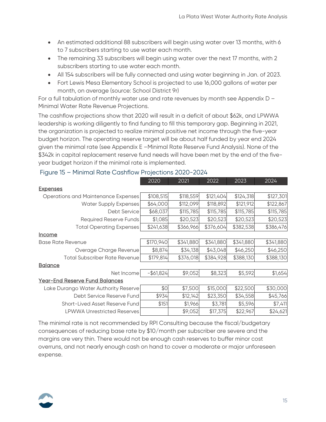- An estimated additional 88 subscribers will begin using water over 13 months, with 6 to 7 subscribers starting to use water each month.
- The remaining 33 subscribers will begin using water over the next 17 months, with 2 subscribers starting to use water each month.
- All 154 subscribers will be fully connected and using water beginning in Jan. of 2023.
- Fort Lewis Mesa Elementary School is projected to use 16,000 gallons of water per month, on average (source: School District 9r)

For a full tabulation of monthly water use and rate revenues by month see Appendix D – Minimal Water Rate Revenue Projections.

The cashflow projections show that 2020 will result in a deficit of about \$62k, and LPWWA leadership is working diligently to find funding to fill this temporary gap. Beginning in 2021, the organization is projected to realize minimal positive net income through the five-year budget horizon. The operating reserve target will be about half funded by year end 2024 given the minimal rate (see Appendix E –Minimal Rate Reserve Fund Analysis). None of the \$342k in capital replacement reserve fund needs will have been met by the end of the fiveyear budget horizon if the minimal rate is implemented.

|                                       | 2020         | 2021      | 2022      | 2023      | 2024      |
|---------------------------------------|--------------|-----------|-----------|-----------|-----------|
| <b>Expenses</b>                       |              |           |           |           |           |
| Operations and Maintenance Expenses   | \$108,515    | \$118,559 | \$121,404 | \$124,318 | \$127,301 |
| <b>Water Supply Expenses</b>          | \$64,000     | \$112,099 | \$118,892 | \$121,912 | \$122,867 |
| Debt Service                          | \$68,037     | \$115,785 | \$115,785 | \$115,785 | \$115,785 |
| Required Reserve Funds                | \$1,085      | \$20,523  | \$20,523  | \$20,523  | \$20,523  |
| <b>Total Operating Expenses</b>       | \$241,638    | \$366,966 | \$376,604 | \$382,538 | \$386,476 |
| <u>Income</u>                         |              |           |           |           |           |
| <b>Base Rate Revenue</b>              | \$170,940    | \$341,880 | \$341,880 | \$341,880 | \$341,880 |
| Overage Charge Revenue                | \$8,874      | \$34,138  | \$43,048  | \$46,250  | \$46,250  |
| <b>Total Subscriber Rate Revenue</b>  | \$179,814    | \$376,018 | \$384,928 | \$388,130 | \$388,130 |
| <u>Balance</u>                        |              |           |           |           |           |
| Net Income                            | $-$ \$61,824 | \$9,052   | \$8,323   | \$5,592   | \$1,654   |
| <b>Year-End Reserve Fund Balances</b> |              |           |           |           |           |
| Lake Durango Water Authority Reserve  | \$0          | \$7,500   | \$15,000  | \$22,500  | \$30,000  |
| Debt Service Reserve Fund             | \$934        | \$12,142  | \$23,350  | \$34,558  | \$45,766  |
| Short-Lived Asset Reserve Fund        | \$151        | \$1,966   | \$3,781   | \$5,596   | \$7,411   |
| <b>LPWWA Unrestricted Reserves</b>    |              | \$9,052   | \$17,375  | \$22,967  | \$24,621  |

#### Figure 15 – Minimal Rate Cashflow Projections 2020-2024

The minimal rate is not recommended by RPI Consulting because the fiscal/budgetary consequences of reducing base rate by \$10/month per subscriber are severe and the margins are very thin. There would not be enough cash reserves to buffer minor cost overruns, and not nearly enough cash on hand to cover a moderate or major unforeseen expense.

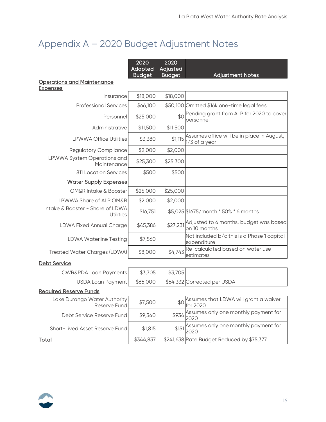# <span id="page-15-0"></span>Appendix A – 2020 Budget Adjustment Notes

|                                                      | 2020<br>Adopted<br><b>Budget</b> | 2020<br>Adjusted<br><b>Budget</b> | <b>Adjustment Notes</b>                                       |
|------------------------------------------------------|----------------------------------|-----------------------------------|---------------------------------------------------------------|
| <u> Operations and Maintenance</u>                   |                                  |                                   |                                                               |
| <u>Expenses</u>                                      |                                  |                                   |                                                               |
| Insurance                                            | \$18,000                         | \$18,000                          |                                                               |
| <b>Professional Services</b>                         | \$66,100                         |                                   | \$50,100 Omitted \$16k one-time legal fees                    |
| Personnel                                            | \$25,000                         | \$0                               | Pending grant from ALP for 2020 to cover<br>personnel         |
| Administrative                                       | \$11,500                         | \$11,500                          |                                                               |
| <b>LPWWA Office Utilities</b>                        | \$3,380                          | \$1,115                           | Assumes office will be in place in August,<br>$1/3$ of a year |
| <b>Regulatory Compliance</b>                         | \$2,000                          | \$2,000                           |                                                               |
| LPWWA System Operations and<br>Maintenance           | \$25,300                         | \$25,300                          |                                                               |
| 811 Location Services                                | \$500                            | \$500                             |                                                               |
| <b>Water Supply Expenses</b>                         |                                  |                                   |                                                               |
| <b>OM&amp;R Intake &amp; Booster</b>                 | \$25,000                         | \$25,000                          |                                                               |
| LPWWA Share of ALP OM&R                              | \$2,000                          | \$2,000                           |                                                               |
| Intake & Booster - Share of LDWA<br><b>Utilities</b> | \$16,751                         |                                   | \$5,025 \$1675/month * 50% * 6 months                         |
| <b>LDWA Fixed Annual Charge</b>                      | \$45,386                         | \$27,231                          | Adjusted to 6 months, budget was based<br>on 10 months        |
| <b>LDWA Waterline Testing</b>                        | \$7,560                          |                                   | Not included b/c this is a Phase 1 capital<br>expenditure     |
| <b>Treated Water Charges (LDWA)</b>                  | \$8,000                          | \$4,743                           | Re-calculated based on water use<br>estimates                 |
| Debt Service                                         |                                  |                                   |                                                               |
| <b>CWR&amp;PDA Loan Payments</b>                     | \$3,705                          | \$3,705                           |                                                               |
| <b>USDA Loan Payment</b>                             | \$66,000                         |                                   | \$64,332 Corrected per USDA                                   |
| <b>Required Reserve Funds</b>                        |                                  |                                   |                                                               |
| Lake Durango Water Authority<br>Reserve Fund         | \$7,500                          |                                   | \$0 Assumes that LDWA will grant a waiver<br>for 2020         |
| Debt Service Reserve Fund                            | \$9,340                          |                                   | \$934 Assumes only one monthly payment for<br>2020            |
| Short-Lived Asset Reserve Fund                       | \$1,815                          |                                   | \$151 Assumes only one monthly payment for<br>2020            |
| <u>Total</u>                                         | \$344,837                        |                                   | \$241,638 Rate Budget Reduced by \$75,377                     |

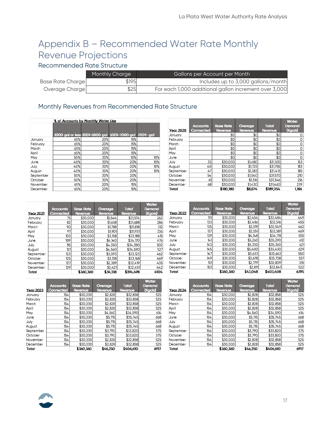# <span id="page-16-0"></span>Appendix B – Recommended Water Rate Monthly Revenue Projections

### Recommended Rate Structure

|                  | Monthly Charge | Gallons per Account per Month                         |
|------------------|----------------|-------------------------------------------------------|
| Base Rate Charge | \$195          | Includes up to 3,000 gallons/month                    |
| Overage Charge   | \$25           | For each 1,000 additional gallon increment over 3,000 |

### Monthly Revenues from Recommended Rate Structure

|           | % of Accounts by Monthly Water Use |                                                        |     |     |
|-----------|------------------------------------|--------------------------------------------------------|-----|-----|
|           |                                    | 3000 gal or less 3001-5000 gal 5001-7000 gal 7001+ gal |     |     |
| January   | 65%                                | 20%                                                    | 15% |     |
| February  | 65%                                | 20%                                                    | 15% |     |
| March     | 65%                                | 20%                                                    | 15% |     |
| April     | 65%                                | 20%                                                    | 15% |     |
| May       | 50%                                | 30%                                                    | 10% | 10% |
| June      | 40%                                | 30%                                                    | 20% | 10% |
| July      | 40%                                | 30%                                                    | 20% | 10% |
| August    | 40%                                | 30%                                                    | 20% | 10% |
| September | 50%                                | 30%                                                    | 20% |     |
| October   | 50%                                | 30%                                                    | 20% |     |
| November  | 65%                                | 20%                                                    | 15% |     |
| December  | 65%                                | 20%                                                    | 15% |     |

|                  |                 |                  |         |              | <b>Water</b> |
|------------------|-----------------|------------------|---------|--------------|--------------|
|                  | <b>Accounts</b> | <b>Base Rate</b> | Overage | <b>Total</b> | Demand       |
| <b>Year 2020</b> | Connected       | Revenue          | Revenue | Revenue      | (Kgals)      |
| January          |                 | \$0              | \$0     | \$0          | Ω            |
| February         |                 | \$0              | \$0     | \$0          | 0            |
| March            |                 | \$0              | \$0     | \$0          | 0            |
| April            |                 | \$0              | \$0     | \$0          | 0            |
| May              |                 | \$0              | \$0     | \$0          | 0            |
| June             |                 | \$0              | \$0     | \$0          | O            |
| July             | 33              | \$30,030         | \$1,480 | \$31,510     | 153          |
| August           | 40              | \$30,030         | \$1,725 | \$31,755     | 183          |
| September        | 47              | \$30,030         | \$1,383 | \$31,413     | 185          |
| October          | 54              | \$30,030         | \$1,540 | \$31,570     | 210          |
| November         | 61              | \$30.030         | \$1,316 | \$31,346     | 216          |
| December         | 68              | \$30,030         | \$1,430 | \$31,460     | 239          |
| Total            |                 | \$180,180        | \$8.874 | \$189.054    | 1.186        |

| <b>Year 2021</b> | <b>Accounts</b><br>Connected | <b>Base Rate</b><br>Revenue | Overage<br>Revenue | <b>Total</b><br>Revenue | <b>Water</b><br>Demand<br>(Kgals) |
|------------------|------------------------------|-----------------------------|--------------------|-------------------------|-----------------------------------|
| January          | 75                           | \$30,030                    | \$1,544            | \$31,574                | 262                               |
| February         | 82                           | \$30.030                    | \$1,658            | \$31,688                | 286                               |
| March            | 90                           | \$30,030                    | \$1,788            | \$31,818                | 312                               |
| April            | 97                           | \$30,030                    | \$1,901            | \$31,931                | 336                               |
| May              | 103                          | \$30,030                    | \$3,158            | \$33,188                | 415                               |
| June             | 109                          | \$30.030                    | \$4,140            | \$34.170                | 476                               |
| July             | 115                          | \$30,030                    | \$4,350            | \$34,380                | 502                               |
| August           | 121                          | \$30,030                    | \$4,560            | \$34,590                | 527                               |
| September        | 123                          | \$30,030                    | \$3,093            | \$33.123                | 462                               |
| October          | 125                          | \$30,030                    | \$3,138            | \$33,168                | 469                               |
| November         | 127                          | \$30,030                    | \$2,389            | \$32.419                | 435                               |
| December         | 129                          | \$30,030                    | \$2,421            | \$32,451                | 442                               |
| Total            |                              | \$360.360                   | \$34.138           | \$394.498               | 4924                              |

| <b>Year 2023</b> | <b>Accounts</b><br>Connected | <b>Base Rate</b><br>Revenue | Overage<br>Revenue | <b>Total</b><br>Revenue | <b>Water</b><br>Demand<br>(Kgals) |
|------------------|------------------------------|-----------------------------|--------------------|-------------------------|-----------------------------------|
| January          | 154                          | \$30,030                    | \$2,828            | \$32,858                | 525                               |
| February         | 154                          | \$30.030                    | \$2,828            | \$32,858                | 525                               |
| March            | 154                          | \$30,030                    | \$2,828            | \$32,858                | 525                               |
| April            | 154                          | \$30,030                    | \$2,828            | \$32,858                | 525                               |
| May              | 154                          | \$30,030                    | \$4,560            | \$34,590                | 614                               |
| June             | 154                          | \$30,030                    | \$5,715            | \$35,745                | 668                               |
| July             | 154                          | \$30,030                    | \$5,715            | \$35,745                | 668                               |
| August           | 154                          | \$30,030                    | \$5,715            | \$35,745                | 668                               |
| September        | 154                          | \$30,030                    | \$3,790            | \$33,820                | 575                               |
| October          | 154                          | \$30,030                    | \$3,790            | \$33,820                | 575                               |
| November         | 154                          | \$30,030                    | \$2,828            | \$32,858                | 525                               |
| December         | 154                          | \$30,030                    | \$2,828            | \$32,858                | 525                               |
| Total            |                              | \$360.360                   | \$46,250           | \$406,610               | 6917                              |

| <b>Year 2022</b> | <b>Accounts</b><br>Connected | <b>Base Rate</b><br>Revenue | Overage<br>Revenue | <b>Total</b><br>Revenue | <b>Water</b><br>Demand<br>(Kgals) |
|------------------|------------------------------|-----------------------------|--------------------|-------------------------|-----------------------------------|
| January          | 131                          | \$30,030                    | \$2,454            | \$32,484                | 449                               |
| February         | 133                          | \$30.030                    | \$2,486            | \$32,516                | 455                               |
| March            | 135                          | \$30,030                    | \$2,519            | \$32,549                | 462                               |
| April            | 137                          | \$30.030                    | \$2,551            | \$32,581                | 469                               |
| May              | 139                          | \$30,030                    | \$4,148            | \$34,178                | 555                               |
| June             | 141                          | \$30.030                    | \$5,260            | \$35.290                | 612                               |
| July             | 143                          | \$30,030                    | \$5,330            | \$35,360                | 621                               |
| August           | 145                          | \$30.030                    | \$5.400            | \$35.430                | 629                               |
| September        | 147                          | \$30,030                    | \$3,633            | \$33,663                | 550                               |
| October          | 149                          | \$30,030                    | \$3,678            | \$33,708                | 557                               |
| November         | 151                          | \$30,030                    | \$2,779            | \$32,809                | 515                               |
| December         | 153                          | \$30,030                    | \$2,811            | \$32,841                | 522                               |
| Total            |                              | \$360.360                   | \$43,048           | \$403,408               | 6395                              |

|                  |                 |                  |          |              | <b>Water</b> |
|------------------|-----------------|------------------|----------|--------------|--------------|
|                  | <b>Accounts</b> | <b>Base Rate</b> | Overage  | <b>Total</b> | Demand       |
| <b>Year 2024</b> | Connected       | Revenue          | Revenue  | Revenue      | (Kgals)      |
| January          | 154             | \$30,030         | \$2,828  | \$32,858     | 525          |
| February         | 154             | \$30.030         | \$2,828  | \$32,858     | 525          |
| March            | 154             | \$30,030         | \$2,828  | \$32,858     | 525          |
| April            | 154             | \$30.030         | \$2,828  | \$32,858     | 525          |
| May              | 154             | \$30,030         | \$4,560  | \$34,590     | 614          |
| June             | 154             | \$30.030         | \$5,715  | \$35.745     | 668          |
| July             | 154             | \$30,030         | \$5,715  | \$35,745     | 668          |
| August           | 154             | \$30.030         | \$5,715  | \$35.745     | 668          |
| September        | 154             | \$30,030         | \$3,790  | \$33,820     | 575          |
| October          | 154             | \$30.030         | \$3,790  | \$33,820     | 575          |
| November         | 154             | \$30,030         | \$2,828  | \$32,858     | 525          |
| December         | 154             | \$30,030         | \$2,828  | \$32,858     | 525          |
| Total            |                 | \$360,360        | \$46,250 | \$406,610    | 6917         |

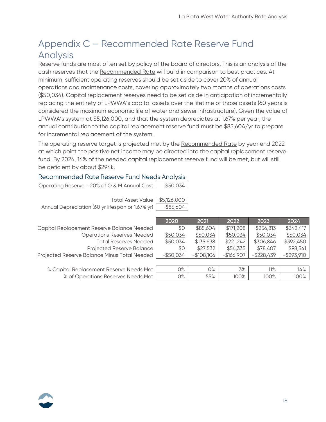# <span id="page-17-0"></span>Appendix C – Recommended Rate Reserve Fund Analysis

Reserve funds are most often set by policy of the board of directors. This is an analysis of the cash reserves that the Recommended Rate will build in comparison to best practices. At minimum, sufficient operating reserves should be set aside to cover 20% of annual operations and maintenance costs, covering approximately two months of operations costs (\$50,034). Capital replacement reserves need to be set aside in anticipation of incrementally replacing the entirety of LPWWA's capital assets over the lifetime of those assets (60 years is considered the maximum economic life of water and sewer infrastructure). Given the value of LPWWA's system at \$5,126,000, and that the system depreciates at 1.67% per year, the annual contribution to the capital replacement reserve fund must be \$85,604/yr to prepare for incremental replacement of the system.

The operating reserve target is projected met by the Recommended Rate by year end 2022 at which point the positive net income may be directed into the capital replacement reserve fund. By 2024, 14% of the needed capital replacement reserve fund will be met, but will still be deficient by about \$294k.

#### Recommended Rate Reserve Fund Needs Analysis

| Operating Reserve = $20\%$ of $\circ$ & M Annual Cost | \$50,034 |
|-------------------------------------------------------|----------|
|                                                       |          |

| Total Asset Value \$5,126,000                               |  |
|-------------------------------------------------------------|--|
| Annual Depreciation (60 yr lifespan or 1.67% yr)   \$85,604 |  |

Capital Replacement Reserve Balance Neede Operations Reserves Neede Total Reserves Neede Projected Reserve Balanc Projected Reserve Balance Minus Total Neede

% Capital Replacement Reserve Needs Met | 0% | 0% | 3% | 11% % of Operations Reserves Needs Met | 0% | 55% | 100% | 100% | 100% | 100% |

|          | 2020         | 2021        | 2022        | 2023          | 2024          |
|----------|--------------|-------------|-------------|---------------|---------------|
| эd       | \$0          | \$85,604    | \$171,208   | \$256,813     | \$342,417     |
| эq       | \$50,034     | \$50,034    | \$50,034    | \$50,034      | \$50,034      |
| эd       | \$50,034     | \$135,638   | \$221,242   | \$306,846     | \$392,450     |
| æ        | <u>\$0</u>   | \$27,532    | \$54,335    | \$78,407      | \$98,541      |
| bś       | $-$ \$50,034 | $-$108,106$ | $-$166,907$ | $-$ \$228,439 | $-$ \$293,910 |
|          |              |             |             |               |               |
| $\sim$ + | ∩%           | n%          | 70/         | 119/          | 1/9/          |

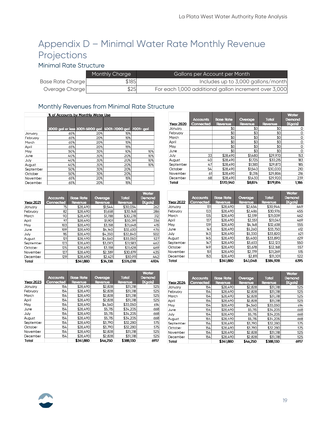# <span id="page-18-0"></span>Appendix D – Minimal Water Rate Monthly Revenue Projections

### Minimal Rate Structure

|                  | Monthly Charge | Gallons per Account per Month                         |
|------------------|----------------|-------------------------------------------------------|
| Base Rate Charge | \$185          | Includes up to 3,000 gallons/month                    |
| Overage Charge   | \$25           | For each 1,000 additional gallon increment over 3,000 |

### Monthly Revenues from Minimal Rate Structure

|           |     | % of Accounts by Monthly Water Use                     |     |     |  |  |
|-----------|-----|--------------------------------------------------------|-----|-----|--|--|
|           |     | 3000 gal or less 3001-5000 gal 5001-7000 gal 7001+ gal |     |     |  |  |
| January   | 65% | 20%                                                    | 15% |     |  |  |
| February  | 65% | 20%                                                    | 15% |     |  |  |
| March     | 65% | 20%                                                    | 15% |     |  |  |
| April     | 65% | 20%                                                    | 15% |     |  |  |
| May       | 50% | 30%                                                    | 10% | 10% |  |  |
| June      | 40% | 30%                                                    | 20% | 10% |  |  |
| July      | 40% | 30%                                                    | 20% | 10% |  |  |
| August    | 40% | 30%                                                    | 20% | 10% |  |  |
| September | 50% | 30%                                                    | 20% |     |  |  |
| October   | 50% | 30%                                                    | 20% |     |  |  |
| November  | 65% | 20%                                                    | 15% |     |  |  |
| December  | 65% | 20%                                                    | 15% |     |  |  |

|                  |                 |                  |          |              | <b>Water</b> |
|------------------|-----------------|------------------|----------|--------------|--------------|
|                  | <b>Accounts</b> | <b>Base Rate</b> | Overage  | <b>Total</b> | Demand       |
| <b>Year 2021</b> | Connected       | Revenue          | Revenue  | Revenue      | (Kgals)      |
| January          | 75              | \$28,490         | \$1,544  | \$30,034     | 262          |
| February         | 82              | \$28,490         | \$1,658  | \$30.148     | 286          |
| March            | 90              | \$28,490         | \$1,788  | \$30,278     | 312          |
| April            | 97              | \$28,490         | \$1,901  | \$30.391     | 336          |
| May              | 103             | \$28,490         | \$3,158  | \$31,648     | 415          |
| June             | 109             | \$28,490         | \$4,140  | \$32,630     | 476          |
| July             | 115             | \$28,490         | \$4,350  | \$32,840     | 502          |
| August           | 121             | \$28.490         | \$4,560  | \$33,050     | 527          |
| September        | 123             | \$28,490         | \$3,093  | \$31,583     | 462          |
| October          | 125             | \$28,490         | \$3,138  | \$31,628     | 469          |
| November         | 127             | \$28,490         | \$2,389  | \$30,879     | 435          |
| December         | 129             | \$28,490         | \$2,421  | \$30,911     | 442          |
| Total            |                 | \$341,880        | \$34,138 | \$376,018    | 4924         |

|                  |                 |                  |          |              | <b>Water</b> |
|------------------|-----------------|------------------|----------|--------------|--------------|
|                  | <b>Accounts</b> | <b>Base Rate</b> | Overage  | <b>Total</b> | Demand       |
| <b>Year 2023</b> | Connected       | Revenue          | Revenue  | Revenue      | (Kgals)      |
| January          | 154             | \$28,490         | \$2,828  | \$31,318     | 525          |
| February         | 154             | \$28,490         | \$2,828  | \$31.318     | 525          |
| March            | 154             | \$28,490         | \$2,828  | \$31,318     | 525          |
| April            | 154             | \$28,490         | \$2,828  | \$31,318     | 525          |
| May              | 154             | \$28,490         | \$4,560  | \$33,050     | 614          |
| June             | 154             | \$28,490         | \$5,715  | \$34,205     | 668          |
| July             | 154             | \$28,490         | \$5,715  | \$34,205     | 668          |
| August           | 154             | \$28.490         | \$5,715  | \$34,205     | 668          |
| September        | 154             | \$28,490         | \$3.790  | \$32,280     | 575          |
| October          | 154             | \$28,490         | \$3,790  | \$32,280     | 575          |
| November         | 154             | \$28,490         | \$2,828  | \$31,318     | 525          |
| December         | 154             | \$28,490         | \$2,828  | \$31,318     | 525          |
| Total            |                 | \$341,880        | \$46.250 | \$388,130    | 6917         |

| <b>Year 2020</b> | <b>Accounts</b><br>Connected | <b>Base Rate</b><br>Revenue | Overage<br>Revenue | <b>Total</b><br>Revenue | <b>Water</b><br>Demand<br>(Kgals) |
|------------------|------------------------------|-----------------------------|--------------------|-------------------------|-----------------------------------|
| January          |                              | \$0                         | \$0                | \$0                     | 0                                 |
| February         |                              | \$0                         | \$0                | \$0                     | 0                                 |
| March            |                              | \$0                         | \$0                | \$0                     | 0                                 |
| April            |                              | \$0                         | \$0                | \$0                     | 0                                 |
| May              |                              | \$0                         | \$0                | \$0                     | 0                                 |
| June             |                              | \$0                         | \$0                | \$0                     | 0                                 |
| July             | 33                           | \$28,490                    | \$1,480            | \$29,970                | 153                               |
| August           | 40                           | \$28,490                    | \$1,725            | \$30,215                | 183                               |
| September        | 47                           | \$28,490                    | \$1,383            | \$29,873                | 185                               |
| October          | 54                           | \$28,490                    | \$1,540            | \$30,030                | 210                               |
| November         | 61                           | \$28,490                    | \$1,316            | \$29,806                | 216                               |
| December         | 68                           | \$28,490                    | \$1,430            | \$29,920                | 239                               |
| Total            |                              | \$170,940                   | \$8.874            | \$179.814               | 1,186                             |

|                  |                 |                  |          |              | <b>Water</b> |
|------------------|-----------------|------------------|----------|--------------|--------------|
|                  | <b>Accounts</b> | <b>Base Rate</b> | Overage  | <b>Total</b> | Demand       |
| <b>Year 2022</b> | Connected       | Revenue          | Revenue  | Revenue      | (Kgals)      |
| January          | 131             | \$28,490         | \$2,454  | \$30,944     | 449          |
| February         | 133             | \$28,490         | \$2,486  | \$30,976     | 455          |
| March            | 135             | \$28,490         | \$2,519  | \$31,009     | 462          |
| April            | 137             | \$28,490         | \$2,551  | \$31.041     | 469          |
| May              | 139             | \$28,490         | \$4.148  | \$32,638     | 555          |
| June             | 141             | \$28,490         | \$5,260  | \$33,750     | 612          |
| July             | 143             | \$28,490         | \$5,330  | \$33,820     | 621          |
| August           | 145             | \$28,490         | \$5,400  | \$33,890     | 629          |
| September        | 147             | \$28,490         | \$3,633  | \$32.123     | 550          |
| October          | 149             | \$28,490         | \$3,678  | \$32,168     | 557          |
| November         | 151             | \$28,490         | \$2,779  | \$31.269     | 515          |
| December         | 153             | \$28,490         | \$2,811  | \$31,301     | 522          |
| Total            |                 | \$341,880        | \$43,048 | \$384.928    | 6395         |

| <b>Year 2024</b> | <b>Accounts</b><br>Connected | <b>Base Rate</b><br>Revenue | Overage<br>Revenue | <b>Total</b><br>Revenue | <b>Water</b><br>Demand<br>(Kgals) |
|------------------|------------------------------|-----------------------------|--------------------|-------------------------|-----------------------------------|
| January          | 154                          | \$28,490                    | \$2,828            | \$31,318                | 525                               |
| February         | 154                          | \$28,490                    | \$2,828            | \$31,318                | 525                               |
| March            | 154                          | \$28,490                    | \$2,828            | \$31,318                | 525                               |
| April            | 154                          | \$28,490                    | \$2,828            | \$31,318                | 525                               |
| May              | 154                          | \$28,490                    | \$4,560            | \$33,050                | 614                               |
| June             | 154                          | \$28,490                    | \$5,715            | \$34,205                | 668                               |
| July             | 154                          | \$28,490                    | \$5,715            | \$34,205                | 668                               |
| August           | 154                          | \$28,490                    | \$5,715            | \$34,205                | 668                               |
| September        | 154                          | \$28,490                    | \$3,790            | \$32,280                | 575                               |
| October          | 154                          | \$28,490                    | \$3,790            | \$32,280                | 575                               |
| November         | 154                          | \$28,490                    | \$2,828            | \$31,318                | 525                               |
| December         | 154                          | \$28,490                    | \$2,828            | \$31,318                | 525                               |
| Total            |                              | \$341,880                   | \$46,250           | \$388,130               | 6917                              |